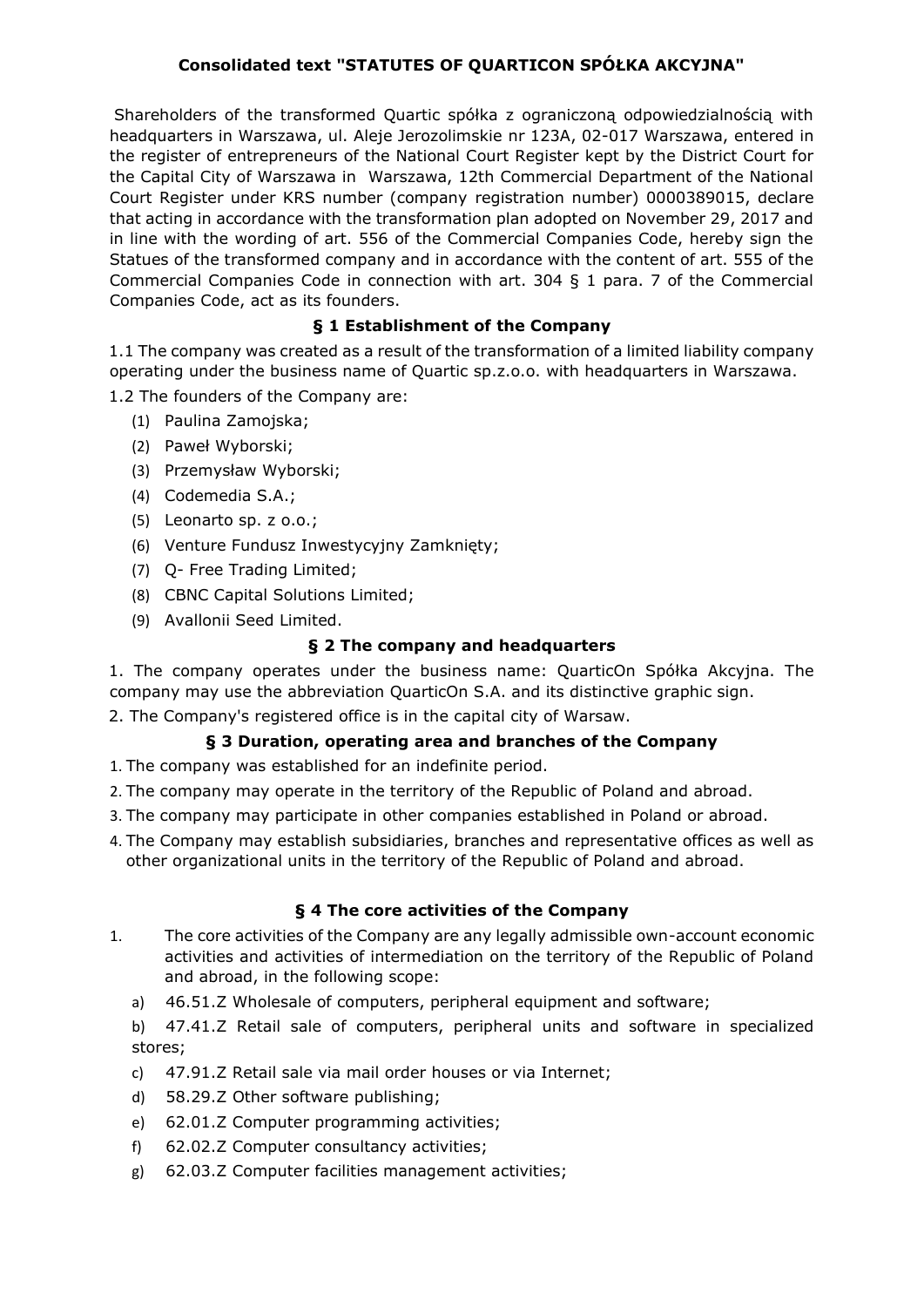# **Consolidated text "STATUTES OF QUARTICON SPÓŁKA AKCYJNA"**

Shareholders of the transformed Quartic spółka z ograniczoną odpowiedzialnością with headquarters in Warszawa, ul. Aleje Jerozolimskie nr 123A, 02-017 Warszawa, entered in the register of entrepreneurs of the National Court Register kept by the District Court for the Capital City of Warszawa in Warszawa, 12th Commercial Department of the National Court Register under KRS number (company registration number) 0000389015, declare that acting in accordance with the transformation plan adopted on November 29, 2017 and in line with the wording of art. 556 of the Commercial Companies Code, hereby sign the Statues of the transformed company and in accordance with the content of art. 555 of the Commercial Companies Code in connection with art. 304 § 1 para. 7 of the Commercial Companies Code, act as its founders.

## **§ 1 Establishment of the Company**

1.1 The company was created as a result of the transformation of a limited liability company operating under the business name of Quartic sp.z.o.o. with headquarters in Warszawa. 1.2 The founders of the Company are:

- (1) Paulina Zamojska;
- (2) Paweł Wyborski;
- (3) Przemysław Wyborski;
- (4) Codemedia S.A.;
- (5) Leonarto sp. z o.o.;
- (6) Venture Fundusz Inwestycyjny Zamknięty;
- (7) Q- Free Trading Limited;
- (8) CBNC Capital Solutions Limited;
- (9) Avallonii Seed Limited.

## **§ 2 The company and headquarters**

1. The company operates under the business name: QuarticOn Spółka Akcyjna. The company may use the abbreviation QuarticOn S.A. and its distinctive graphic sign.

2. The Company's registered office is in the capital city of Warsaw.

## **§ 3 Duration, operating area and branches of the Company**

- 1. The company was established for an indefinite period.
- 2. The company may operate in the territory of the Republic of Poland and abroad.
- 3. The company may participate in other companies established in Poland or abroad.
- 4. The Company may establish subsidiaries, branches and representative offices as well as other organizational units in the territory of the Republic of Poland and abroad.

## **§ 4 The core activities of the Company**

- 1. The core activities of the Company are any legally admissible own-account economic activities and activities of intermediation on the territory of the Republic of Poland and abroad, in the following scope:
	- a) 46.51.Z Wholesale of computers, peripheral equipment and software;
	- b) 47.41.Z Retail sale of computers, peripheral units and software in specialized stores;
	- c) 47.91.Z Retail sale via mail order houses or via Internet;
	- d) 58.29.Z Other software publishing;
	- e) 62.01.Z Computer programming activities;
	- f) 62.02.Z Computer consultancy activities;
	- g) 62.03.Z Computer facilities management activities;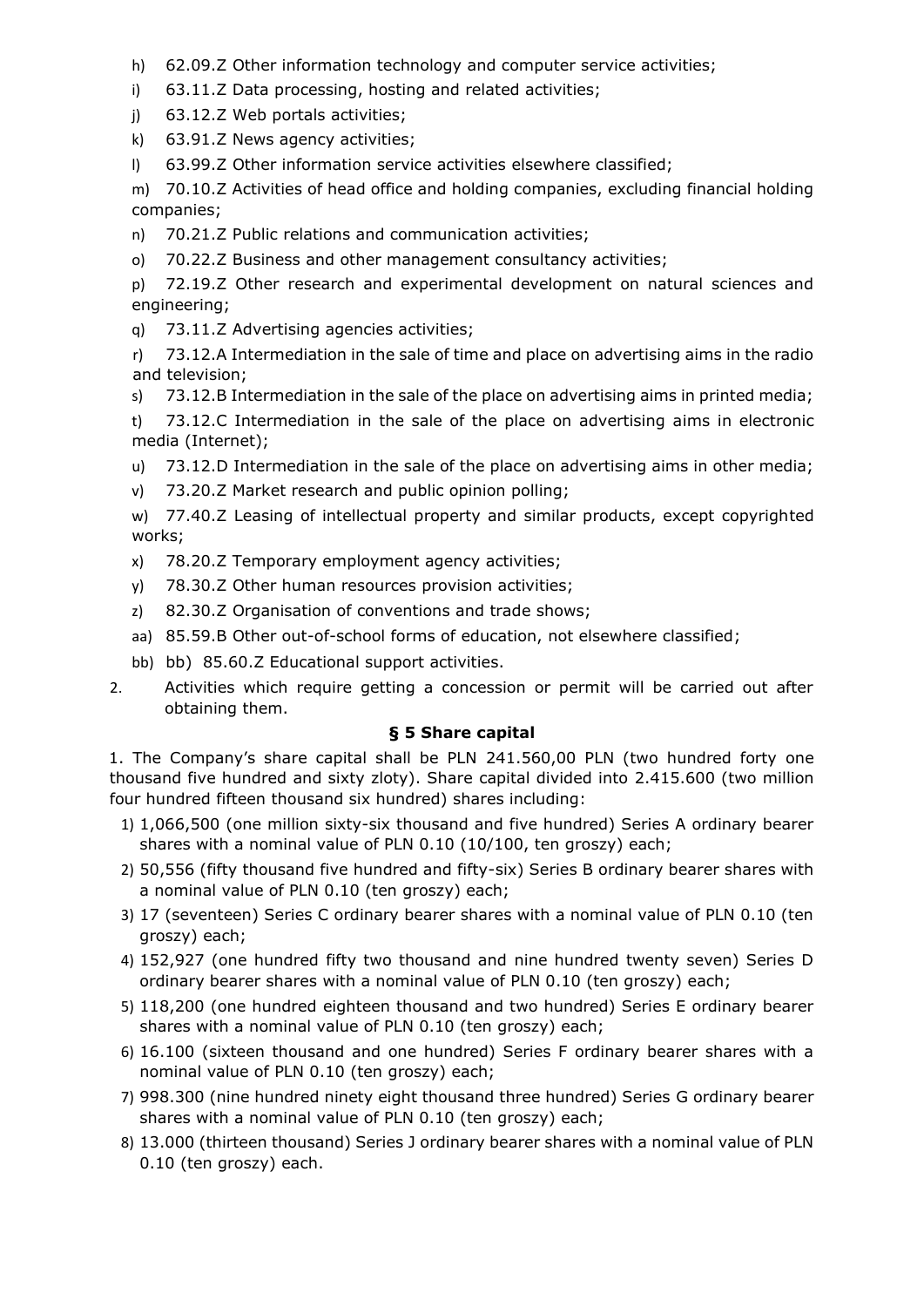- h) 62.09.Z Other information technology and computer service activities;
- i) 63.11.Z Data processing, hosting and related activities;
- j) 63.12.Z Web portals activities;
- k) 63.91.Z News agency activities;
- l) 63.99.Z Other information service activities elsewhere classified;

m) 70.10.Z Activities of head office and holding companies, excluding financial holding companies;

- n) 70.21.Z Public relations and communication activities;
- o) 70.22.Z Business and other management consultancy activities;
- p) 72.19.Z Other research and experimental development on natural sciences and engineering;
- q) 73.11.Z Advertising agencies activities;
- r) 73.12.A Intermediation in the sale of time and place on advertising aims in the radio and television;
- s) 73.12.B Intermediation in the sale of the place on advertising aims in printed media;

t) 73.12.C Intermediation in the sale of the place on advertising aims in electronic media (Internet);

- u) 73.12.D Intermediation in the sale of the place on advertising aims in other media;
- v) 73.20.Z Market research and public opinion polling;

w) 77.40.Z Leasing of intellectual property and similar products, except copyrighted works;

- x) 78.20.Z Temporary employment agency activities;
- y) 78.30.Z Other human resources provision activities;
- z) 82.30.Z Organisation of conventions and trade shows;
- aa) 85.59.B Other out-of-school forms of education, not elsewhere classified;
- bb) bb) 85.60.Z Educational support activities.
- 2. Activities which require getting a concession or permit will be carried out after obtaining them.

## **§ 5 Share capital**

1. The Company's share capital shall be PLN 241.560,00 PLN (two hundred forty one thousand five hundred and sixty zloty). Share capital divided into 2.415.600 (two million four hundred fifteen thousand six hundred) shares including:

- 1) 1,066,500 (one million sixty-six thousand and five hundred) Series A ordinary bearer shares with a nominal value of PLN 0.10 (10/100, ten groszy) each;
- 2) 50,556 (fifty thousand five hundred and fifty-six) Series B ordinary bearer shares with a nominal value of PLN 0.10 (ten groszy) each;
- 3) 17 (seventeen) Series C ordinary bearer shares with a nominal value of PLN 0.10 (ten groszy) each;
- 4) 152,927 (one hundred fifty two thousand and nine hundred twenty seven) Series D ordinary bearer shares with a nominal value of PLN 0.10 (ten groszy) each;
- 5) 118,200 (one hundred eighteen thousand and two hundred) Series E ordinary bearer shares with a nominal value of PLN 0.10 (ten groszy) each;
- 6) 16.100 (sixteen thousand and one hundred) Series F ordinary bearer shares with a nominal value of PLN 0.10 (ten groszy) each;
- 7) 998.300 (nine hundred ninety eight thousand three hundred) Series G ordinary bearer shares with a nominal value of PLN 0.10 (ten groszy) each;
- 8) 13.000 (thirteen thousand) Series J ordinary bearer shares with a nominal value of PLN 0.10 (ten groszy) each.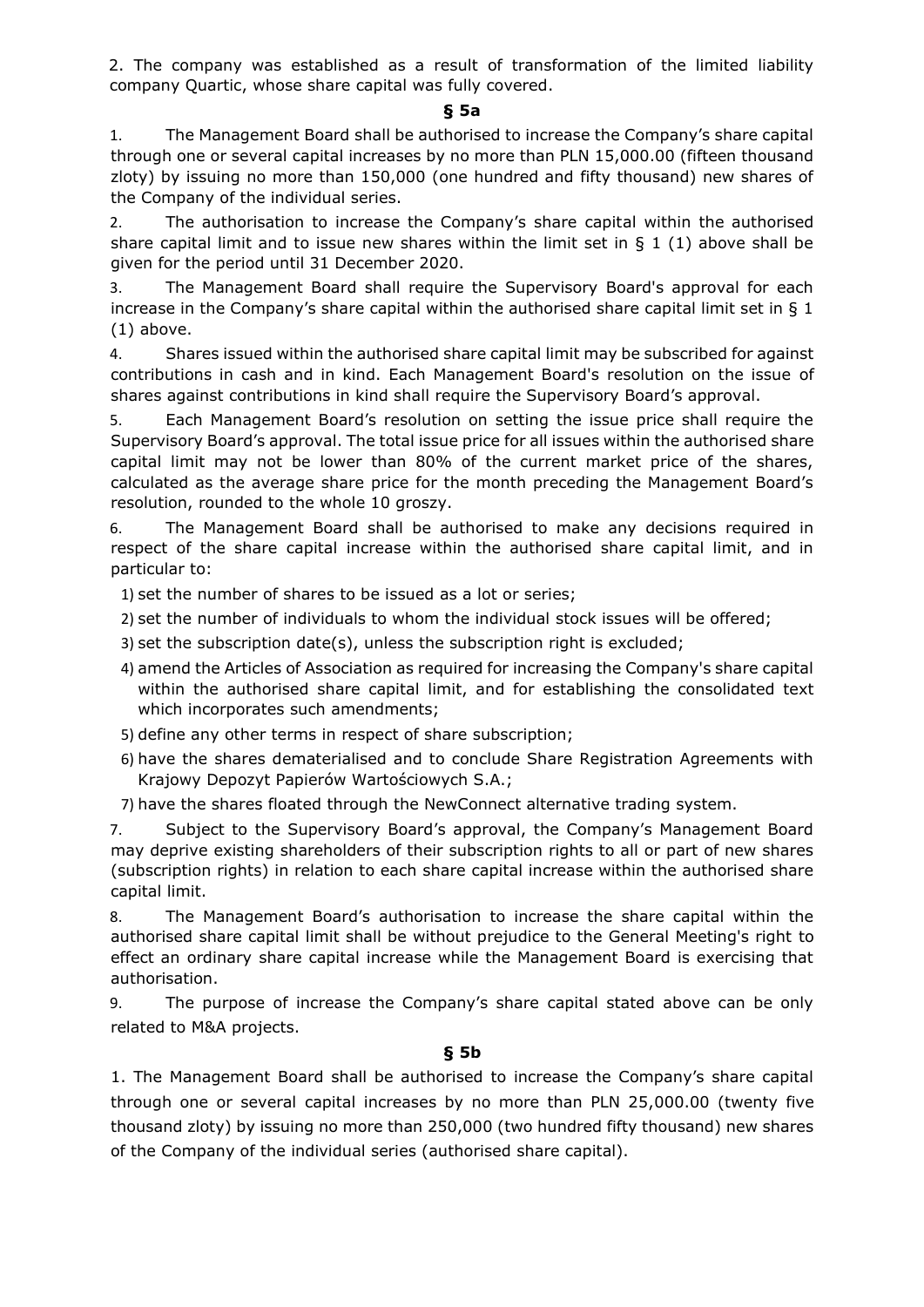2. The company was established as a result of transformation of the limited liability company Quartic, whose share capital was fully covered.

### **§ 5a**

1. The Management Board shall be authorised to increase the Company's share capital through one or several capital increases by no more than PLN 15,000.00 (fifteen thousand zloty) by issuing no more than 150,000 (one hundred and fifty thousand) new shares of the Company of the individual series.

2. The authorisation to increase the Company's share capital within the authorised share capital limit and to issue new shares within the limit set in  $\S$  1 (1) above shall be given for the period until 31 December 2020.

3. The Management Board shall require the Supervisory Board's approval for each increase in the Company's share capital within the authorised share capital limit set in  $\S$  1 (1) above.

4. Shares issued within the authorised share capital limit may be subscribed for against contributions in cash and in kind. Each Management Board's resolution on the issue of shares against contributions in kind shall require the Supervisory Board's approval.

5. Each Management Board's resolution on setting the issue price shall require the Supervisory Board's approval. The total issue price for all issues within the authorised share capital limit may not be lower than 80% of the current market price of the shares, calculated as the average share price for the month preceding the Management Board's resolution, rounded to the whole 10 groszy.

6. The Management Board shall be authorised to make any decisions required in respect of the share capital increase within the authorised share capital limit, and in particular to:

1) set the number of shares to be issued as a lot or series;

2) set the number of individuals to whom the individual stock issues will be offered;

- 3) set the subscription date(s), unless the subscription right is excluded;
- 4) amend the Articles of Association as required for increasing the Company's share capital within the authorised share capital limit, and for establishing the consolidated text which incorporates such amendments;
- 5) define any other terms in respect of share subscription;
- 6) have the shares dematerialised and to conclude Share Registration Agreements with Krajowy Depozyt Papierów Wartościowych S.A.;

7) have the shares floated through the NewConnect alternative trading system.

7. Subject to the Supervisory Board's approval, the Company's Management Board may deprive existing shareholders of their subscription rights to all or part of new shares (subscription rights) in relation to each share capital increase within the authorised share capital limit.

8. The Management Board's authorisation to increase the share capital within the authorised share capital limit shall be without prejudice to the General Meeting's right to effect an ordinary share capital increase while the Management Board is exercising that authorisation.

9. The purpose of increase the Company's share capital stated above can be only related to M&A projects.

## **§ 5b**

1. The Management Board shall be authorised to increase the Company's share capital through one or several capital increases by no more than PLN 25,000.00 (twenty five thousand zloty) by issuing no more than 250,000 (two hundred fifty thousand) new shares of the Company of the individual series (authorised share capital).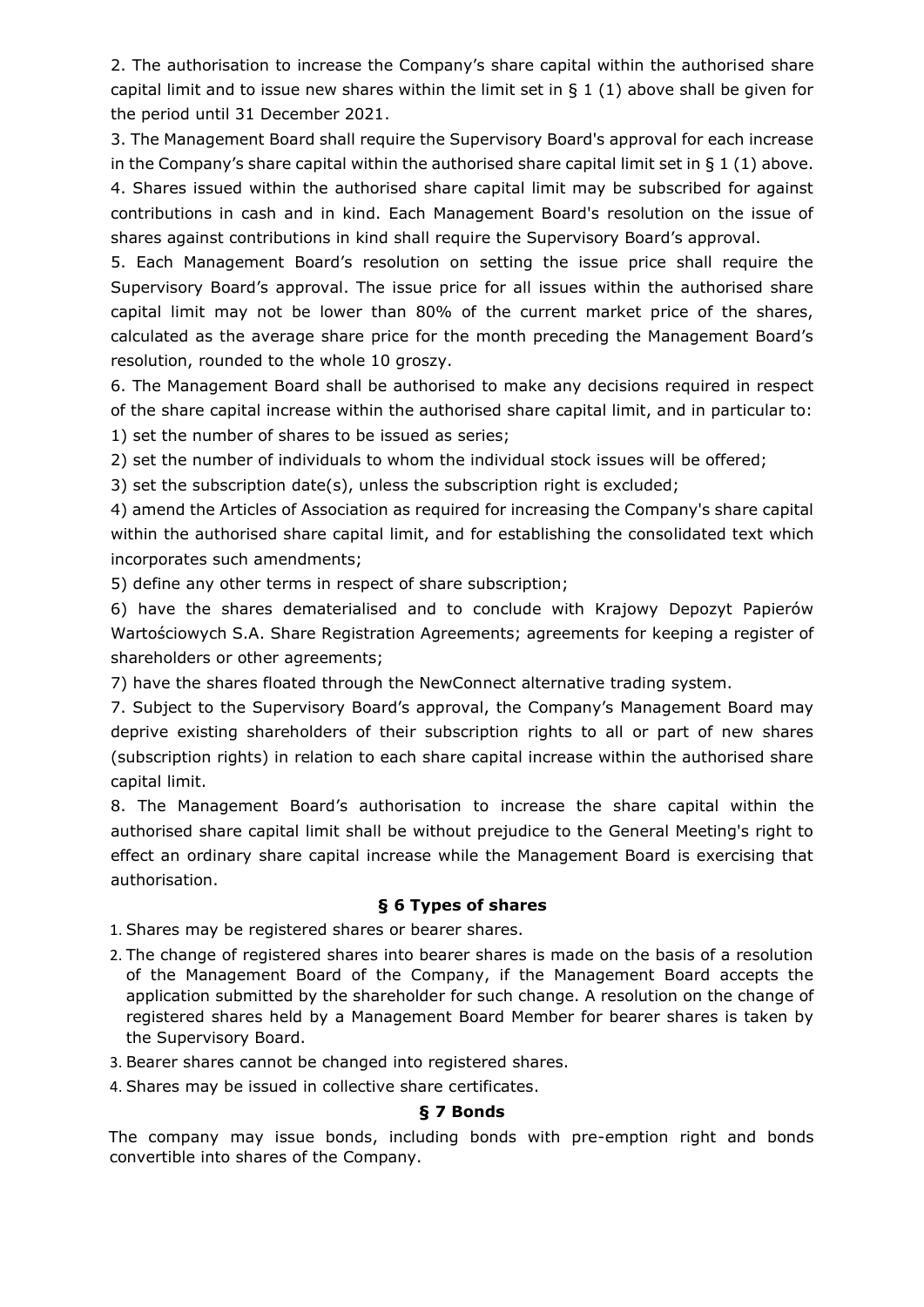2. The authorisation to increase the Company's share capital within the authorised share capital limit and to issue new shares within the limit set in  $\S 1$  (1) above shall be given for the period until 31 December 2021.

3. The Management Board shall require the Supervisory Board's approval for each increase in the Company's share capital within the authorised share capital limit set in  $\S 1$  (1) above. 4. Shares issued within the authorised share capital limit may be subscribed for against contributions in cash and in kind. Each Management Board's resolution on the issue of shares against contributions in kind shall require the Supervisory Board's approval.

5. Each Management Board's resolution on setting the issue price shall require the Supervisory Board's approval. The issue price for all issues within the authorised share capital limit may not be lower than 80% of the current market price of the shares, calculated as the average share price for the month preceding the Management Board's resolution, rounded to the whole 10 groszy.

6. The Management Board shall be authorised to make any decisions required in respect of the share capital increase within the authorised share capital limit, and in particular to: 1) set the number of shares to be issued as series;

2) set the number of individuals to whom the individual stock issues will be offered;

3) set the subscription date(s), unless the subscription right is excluded;

4) amend the Articles of Association as required for increasing the Company's share capital within the authorised share capital limit, and for establishing the consolidated text which incorporates such amendments;

5) define any other terms in respect of share subscription;

6) have the shares dematerialised and to conclude with Krajowy Depozyt Papierów Wartościowych S.A. Share Registration Agreements; agreements for keeping a register of shareholders or other agreements;

7) have the shares floated through the NewConnect alternative trading system.

7. Subject to the Supervisory Board's approval, the Company's Management Board may deprive existing shareholders of their subscription rights to all or part of new shares (subscription rights) in relation to each share capital increase within the authorised share capital limit.

8. The Management Board's authorisation to increase the share capital within the authorised share capital limit shall be without prejudice to the General Meeting's right to effect an ordinary share capital increase while the Management Board is exercising that authorisation.

# **§ 6 Types of shares**

1. Shares may be registered shares or bearer shares.

- 2. The change of registered shares into bearer shares is made on the basis of a resolution of the Management Board of the Company, if the Management Board accepts the application submitted by the shareholder for such change. A resolution on the change of registered shares held by a Management Board Member for bearer shares is taken by the Supervisory Board.
- 3. Bearer shares cannot be changed into registered shares.
- 4. Shares may be issued in collective share certificates.

# **§ 7 Bonds**

The company may issue bonds, including bonds with pre-emption right and bonds convertible into shares of the Company.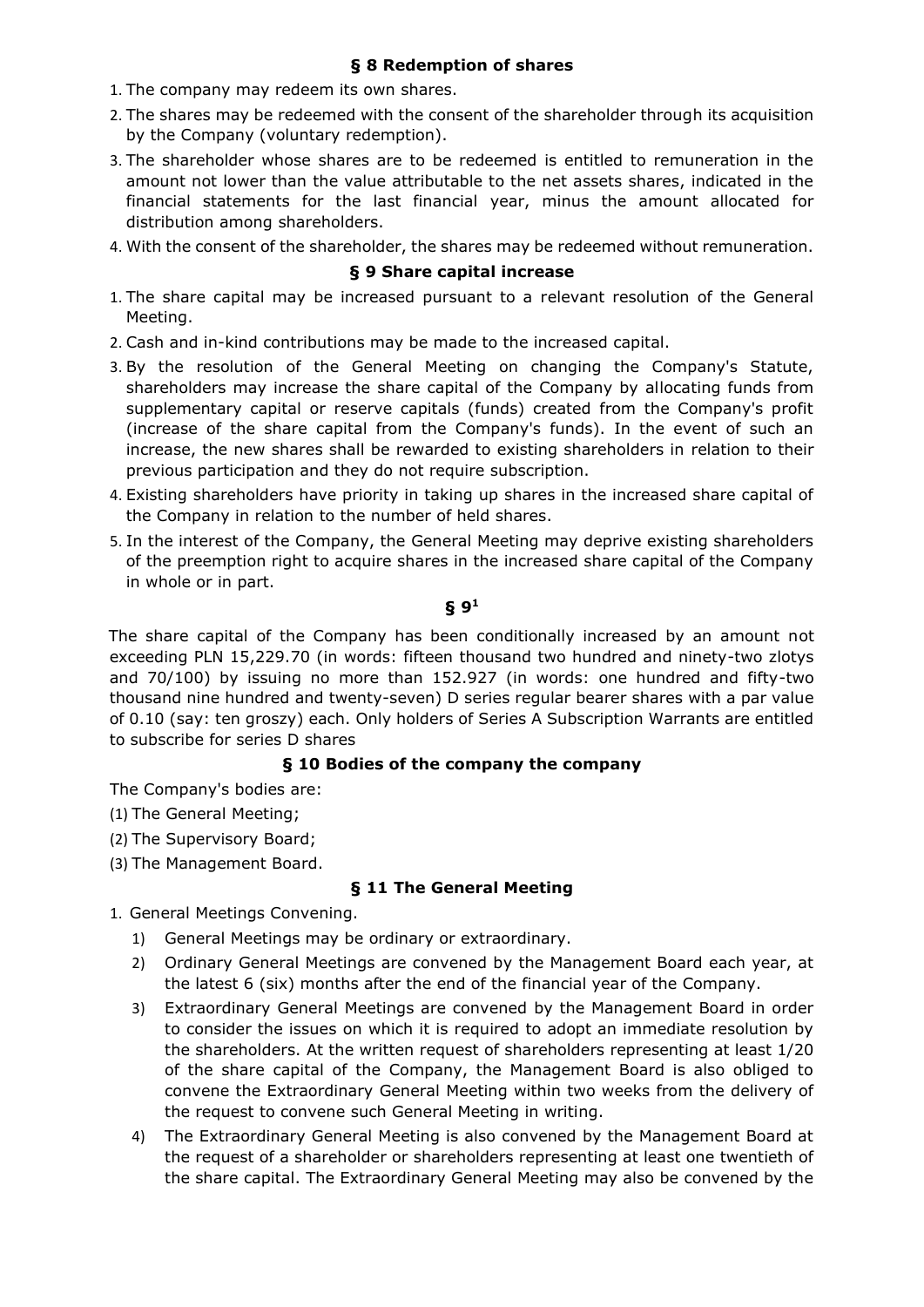- 1. The company may redeem its own shares.
- 2. The shares may be redeemed with the consent of the shareholder through its acquisition by the Company (voluntary redemption).
- 3. The shareholder whose shares are to be redeemed is entitled to remuneration in the amount not lower than the value attributable to the net assets shares, indicated in the financial statements for the last financial year, minus the amount allocated for distribution among shareholders.
- 4. With the consent of the shareholder, the shares may be redeemed without remuneration.

## **§ 9 Share capital increase**

- 1. The share capital may be increased pursuant to a relevant resolution of the General Meeting.
- 2. Cash and in-kind contributions may be made to the increased capital.
- 3. By the resolution of the General Meeting on changing the Company's Statute, shareholders may increase the share capital of the Company by allocating funds from supplementary capital or reserve capitals (funds) created from the Company's profit (increase of the share capital from the Company's funds). In the event of such an increase, the new shares shall be rewarded to existing shareholders in relation to their previous participation and they do not require subscription.
- 4. Existing shareholders have priority in taking up shares in the increased share capital of the Company in relation to the number of held shares.
- 5. In the interest of the Company, the General Meeting may deprive existing shareholders of the preemption right to acquire shares in the increased share capital of the Company in whole or in part.

#### **§ 9<sup>1</sup>**

The share capital of the Company has been conditionally increased by an amount not exceeding PLN 15,229.70 (in words: fifteen thousand two hundred and ninety-two zlotys and 70/100) by issuing no more than 152.927 (in words: one hundred and fifty-two thousand nine hundred and twenty-seven) D series regular bearer shares with a par value of 0.10 (say: ten groszy) each. Only holders of Series A Subscription Warrants are entitled to subscribe for series D shares

## **§ 10 Bodies of the company the company**

The Company's bodies are:

- (1) The General Meeting;
- (2) The Supervisory Board;
- (3) The Management Board.

## **§ 11 The General Meeting**

- 1. General Meetings Convening.
	- 1) General Meetings may be ordinary or extraordinary.
	- 2) Ordinary General Meetings are convened by the Management Board each year, at the latest 6 (six) months after the end of the financial year of the Company.
	- 3) Extraordinary General Meetings are convened by the Management Board in order to consider the issues on which it is required to adopt an immediate resolution by the shareholders. At the written request of shareholders representing at least 1/20 of the share capital of the Company, the Management Board is also obliged to convene the Extraordinary General Meeting within two weeks from the delivery of the request to convene such General Meeting in writing.
	- 4) The Extraordinary General Meeting is also convened by the Management Board at the request of a shareholder or shareholders representing at least one twentieth of the share capital. The Extraordinary General Meeting may also be convened by the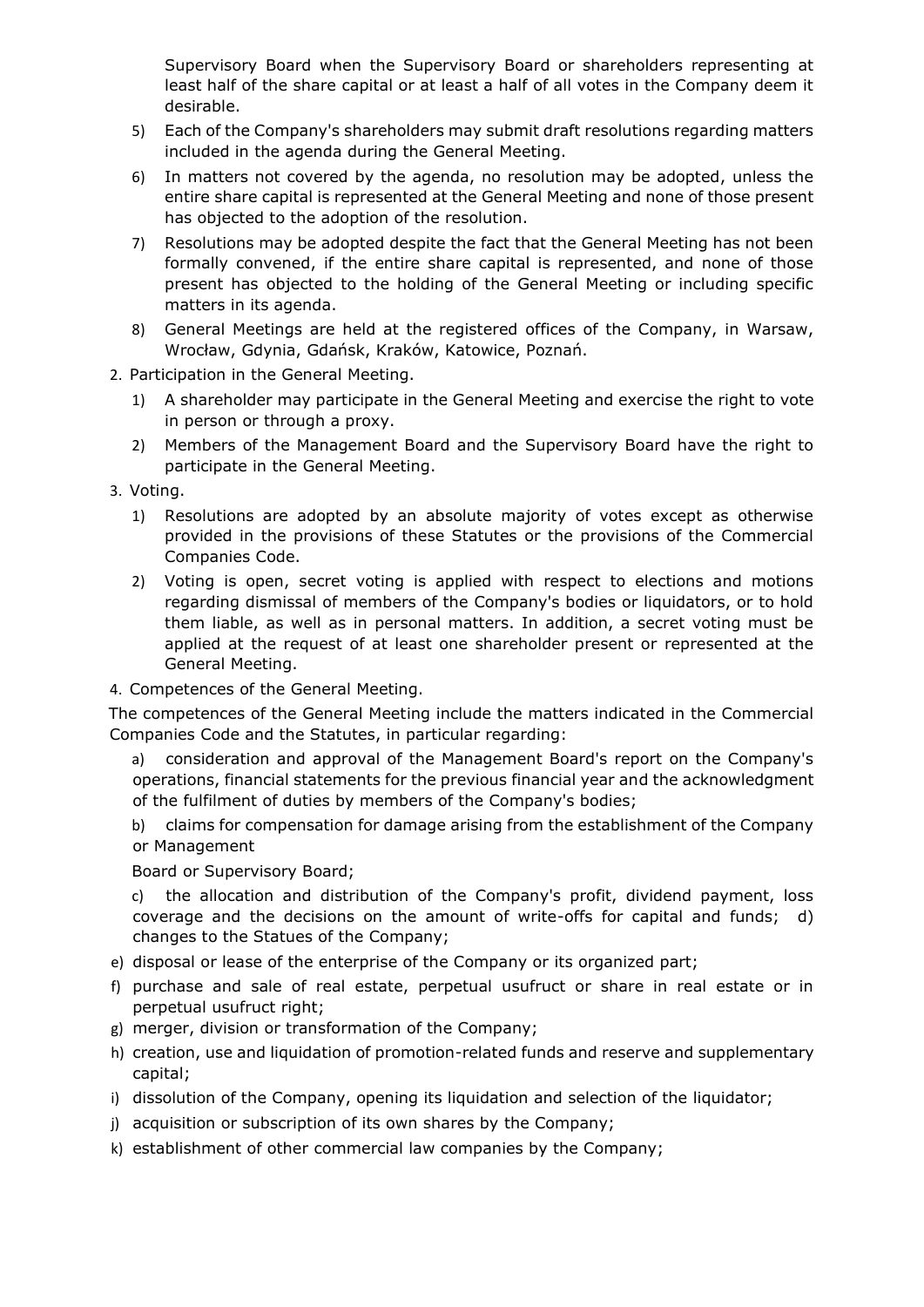Supervisory Board when the Supervisory Board or shareholders representing at least half of the share capital or at least a half of all votes in the Company deem it desirable.

- 5) Each of the Company's shareholders may submit draft resolutions regarding matters included in the agenda during the General Meeting.
- 6) In matters not covered by the agenda, no resolution may be adopted, unless the entire share capital is represented at the General Meeting and none of those present has objected to the adoption of the resolution.
- 7) Resolutions may be adopted despite the fact that the General Meeting has not been formally convened, if the entire share capital is represented, and none of those present has objected to the holding of the General Meeting or including specific matters in its agenda.
- 8) General Meetings are held at the registered offices of the Company, in Warsaw, Wrocław, Gdynia, Gdańsk, Kraków, Katowice, Poznań.
- 2. Participation in the General Meeting.
	- 1) A shareholder may participate in the General Meeting and exercise the right to vote in person or through a proxy.
	- 2) Members of the Management Board and the Supervisory Board have the right to participate in the General Meeting.
- 3. Voting.
	- 1) Resolutions are adopted by an absolute majority of votes except as otherwise provided in the provisions of these Statutes or the provisions of the Commercial Companies Code.
	- 2) Voting is open, secret voting is applied with respect to elections and motions regarding dismissal of members of the Company's bodies or liquidators, or to hold them liable, as well as in personal matters. In addition, a secret voting must be applied at the request of at least one shareholder present or represented at the General Meeting.
- 4. Competences of the General Meeting.

The competences of the General Meeting include the matters indicated in the Commercial Companies Code and the Statutes, in particular regarding:

- a) consideration and approval of the Management Board's report on the Company's operations, financial statements for the previous financial year and the acknowledgment of the fulfilment of duties by members of the Company's bodies;
- b) claims for compensation for damage arising from the establishment of the Company or Management

Board or Supervisory Board;

c) the allocation and distribution of the Company's profit, dividend payment, loss coverage and the decisions on the amount of write-offs for capital and funds; d) changes to the Statues of the Company;

- e) disposal or lease of the enterprise of the Company or its organized part;
- f) purchase and sale of real estate, perpetual usufruct or share in real estate or in perpetual usufruct right;
- g) merger, division or transformation of the Company;
- h) creation, use and liquidation of promotion-related funds and reserve and supplementary capital;
- i) dissolution of the Company, opening its liquidation and selection of the liquidator;
- j) acquisition or subscription of its own shares by the Company;
- k) establishment of other commercial law companies by the Company;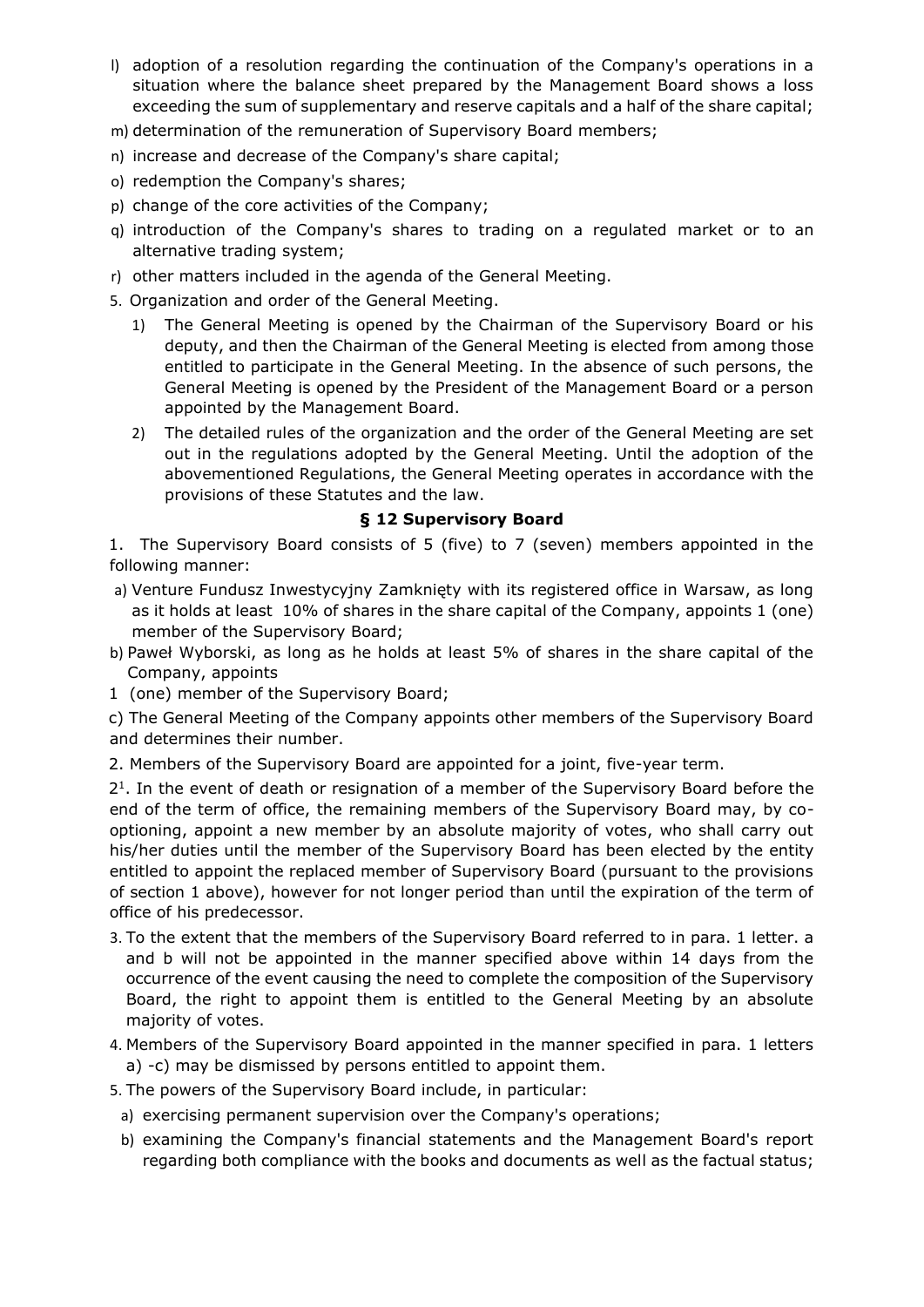- l) adoption of a resolution regarding the continuation of the Company's operations in a situation where the balance sheet prepared by the Management Board shows a loss exceeding the sum of supplementary and reserve capitals and a half of the share capital;
- m) determination of the remuneration of Supervisory Board members;
- n) increase and decrease of the Company's share capital;
- o) redemption the Company's shares;
- p) change of the core activities of the Company;
- q) introduction of the Company's shares to trading on a regulated market or to an alternative trading system;
- r) other matters included in the agenda of the General Meeting.
- 5. Organization and order of the General Meeting.
	- 1) The General Meeting is opened by the Chairman of the Supervisory Board or his deputy, and then the Chairman of the General Meeting is elected from among those entitled to participate in the General Meeting. In the absence of such persons, the General Meeting is opened by the President of the Management Board or a person appointed by the Management Board.
	- 2) The detailed rules of the organization and the order of the General Meeting are set out in the regulations adopted by the General Meeting. Until the adoption of the abovementioned Regulations, the General Meeting operates in accordance with the provisions of these Statutes and the law.

## **§ 12 Supervisory Board**

1. The Supervisory Board consists of 5 (five) to 7 (seven) members appointed in the following manner:

- a) Venture Fundusz Inwestycyjny Zamknięty with its registered office in Warsaw, as long as it holds at least 10% of shares in the share capital of the Company, appoints 1 (one) member of the Supervisory Board;
- b) Paweł Wyborski, as long as he holds at least 5% of shares in the share capital of the Company, appoints
- 1 (one) member of the Supervisory Board;

c) The General Meeting of the Company appoints other members of the Supervisory Board and determines their number.

2. Members of the Supervisory Board are appointed for a joint, five-year term.

2 1 . In the event of death or resignation of a member of the Supervisory Board before the end of the term of office, the remaining members of the Supervisory Board may, by cooptioning, appoint a new member by an absolute majority of votes, who shall carry out his/her duties until the member of the Supervisory Board has been elected by the entity entitled to appoint the replaced member of Supervisory Board (pursuant to the provisions of section 1 above), however for not longer period than until the expiration of the term of office of his predecessor.

- 3. To the extent that the members of the Supervisory Board referred to in para. 1 letter. a and b will not be appointed in the manner specified above within 14 days from the occurrence of the event causing the need to complete the composition of the Supervisory Board, the right to appoint them is entitled to the General Meeting by an absolute majority of votes.
- 4. Members of the Supervisory Board appointed in the manner specified in para. 1 letters a) -c) may be dismissed by persons entitled to appoint them.
- 5. The powers of the Supervisory Board include, in particular:
	- a) exercising permanent supervision over the Company's operations;
	- b) examining the Company's financial statements and the Management Board's report regarding both compliance with the books and documents as well as the factual status;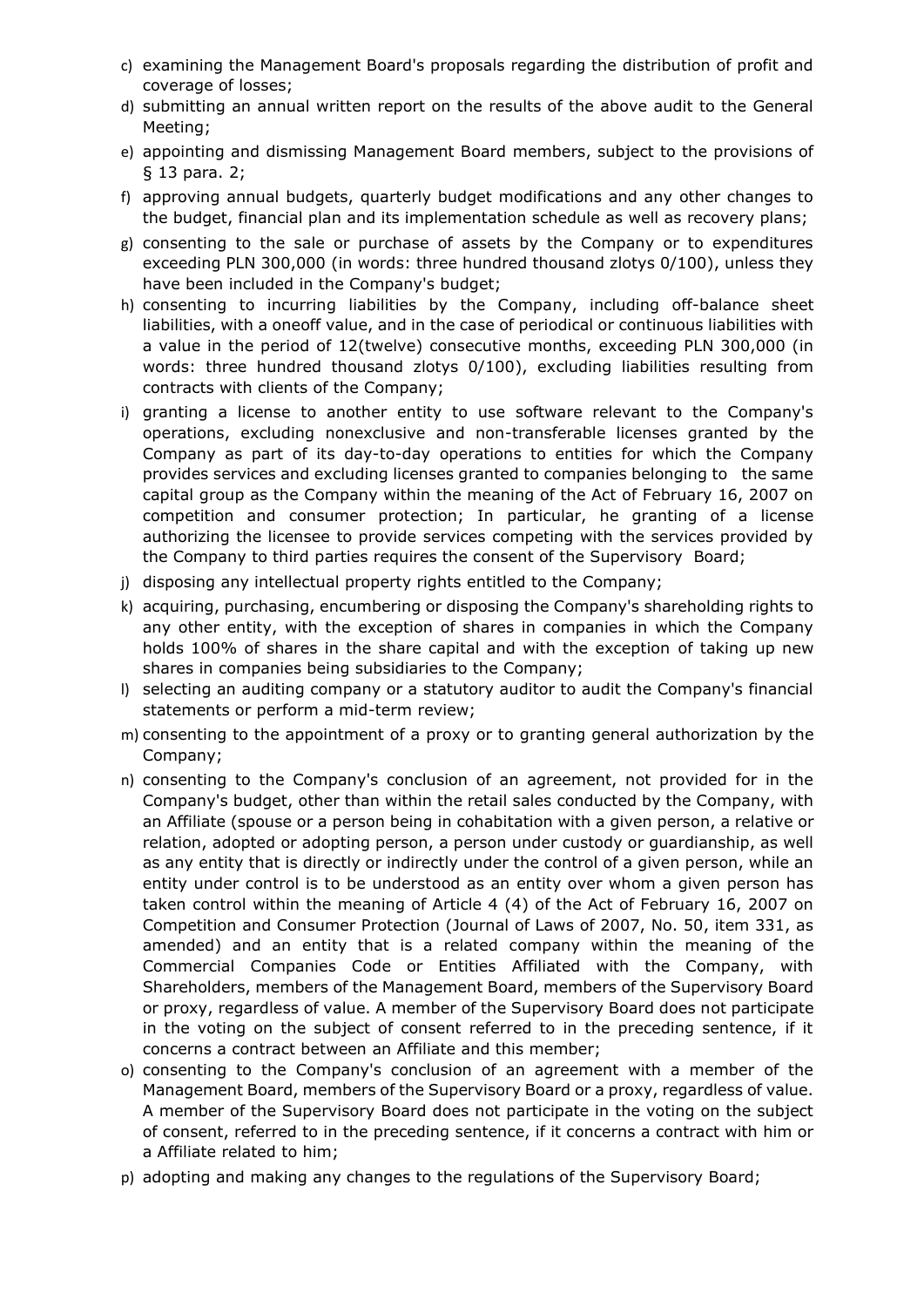- c) examining the Management Board's proposals regarding the distribution of profit and coverage of losses;
- d) submitting an annual written report on the results of the above audit to the General Meeting;
- e) appointing and dismissing Management Board members, subject to the provisions of § 13 para. 2;
- f) approving annual budgets, quarterly budget modifications and any other changes to the budget, financial plan and its implementation schedule as well as recovery plans;
- g) consenting to the sale or purchase of assets by the Company or to expenditures exceeding PLN 300,000 (in words: three hundred thousand zlotys 0/100), unless they have been included in the Company's budget;
- h) consenting to incurring liabilities by the Company, including off-balance sheet liabilities, with a oneoff value, and in the case of periodical or continuous liabilities with a value in the period of 12(twelve) consecutive months, exceeding PLN 300,000 (in words: three hundred thousand zlotys 0/100), excluding liabilities resulting from contracts with clients of the Company;
- i) granting a license to another entity to use software relevant to the Company's operations, excluding nonexclusive and non-transferable licenses granted by the Company as part of its day-to-day operations to entities for which the Company provides services and excluding licenses granted to companies belonging to the same capital group as the Company within the meaning of the Act of February 16, 2007 on competition and consumer protection; In particular, he granting of a license authorizing the licensee to provide services competing with the services provided by the Company to third parties requires the consent of the Supervisory Board;
- j) disposing any intellectual property rights entitled to the Company;
- k) acquiring, purchasing, encumbering or disposing the Company's shareholding rights to any other entity, with the exception of shares in companies in which the Company holds 100% of shares in the share capital and with the exception of taking up new shares in companies being subsidiaries to the Company;
- l) selecting an auditing company or a statutory auditor to audit the Company's financial statements or perform a mid-term review;
- m) consenting to the appointment of a proxy or to granting general authorization by the Company;
- n) consenting to the Company's conclusion of an agreement, not provided for in the Company's budget, other than within the retail sales conducted by the Company, with an Affiliate (spouse or a person being in cohabitation with a given person, a relative or relation, adopted or adopting person, a person under custody or guardianship, as well as any entity that is directly or indirectly under the control of a given person, while an entity under control is to be understood as an entity over whom a given person has taken control within the meaning of Article 4 (4) of the Act of February 16, 2007 on Competition and Consumer Protection (Journal of Laws of 2007, No. 50, item 331, as amended) and an entity that is a related company within the meaning of the Commercial Companies Code or Entities Affiliated with the Company, with Shareholders, members of the Management Board, members of the Supervisory Board or proxy, regardless of value. A member of the Supervisory Board does not participate in the voting on the subject of consent referred to in the preceding sentence, if it concerns a contract between an Affiliate and this member;
- o) consenting to the Company's conclusion of an agreement with a member of the Management Board, members of the Supervisory Board or a proxy, regardless of value. A member of the Supervisory Board does not participate in the voting on the subject of consent, referred to in the preceding sentence, if it concerns a contract with him or a Affiliate related to him;
- p) adopting and making any changes to the regulations of the Supervisory Board;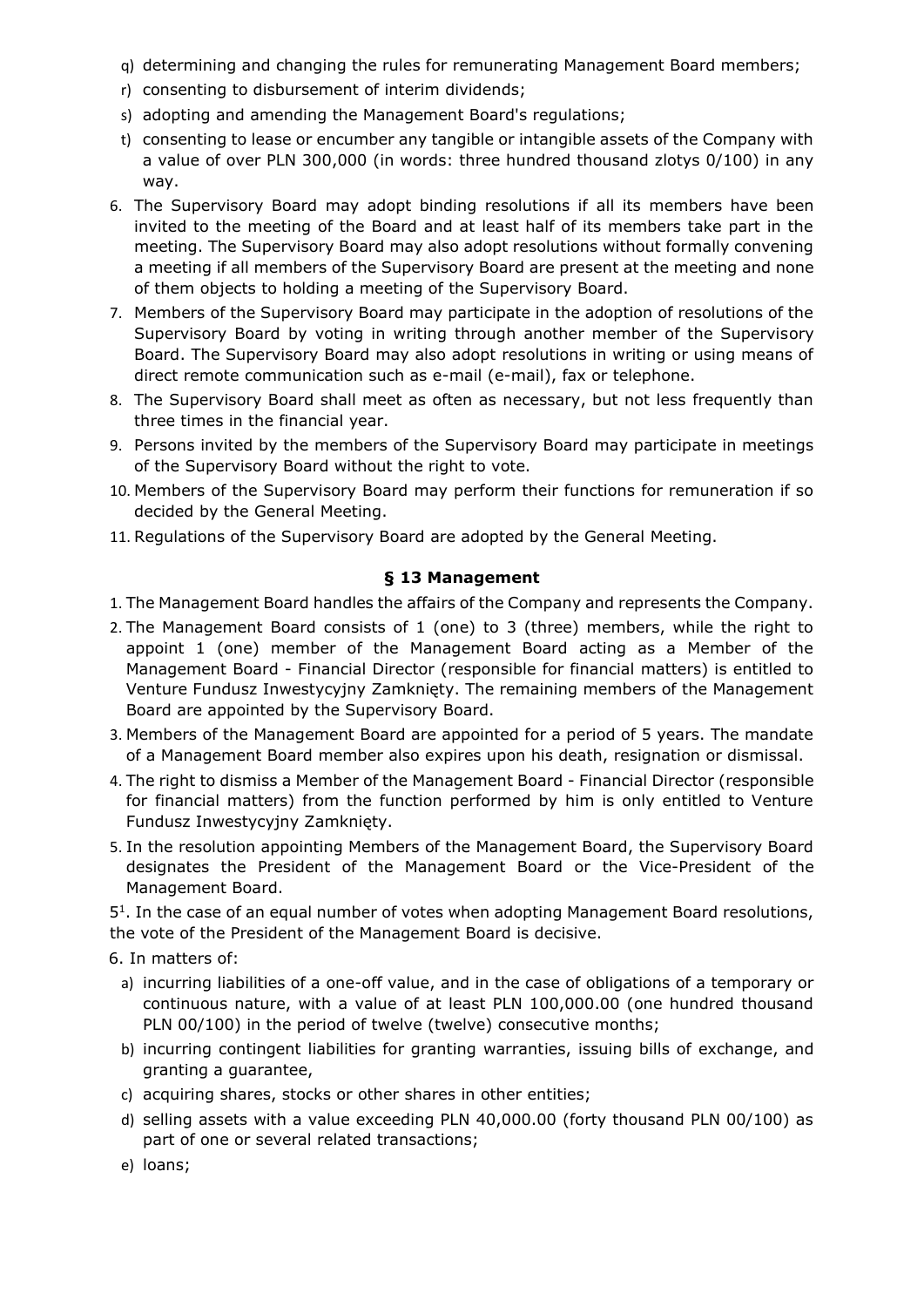- q) determining and changing the rules for remunerating Management Board members;
- r) consenting to disbursement of interim dividends;
- s) adopting and amending the Management Board's regulations;
- t) consenting to lease or encumber any tangible or intangible assets of the Company with a value of over PLN 300,000 (in words: three hundred thousand zlotys 0/100) in any way.
- 6. The Supervisory Board may adopt binding resolutions if all its members have been invited to the meeting of the Board and at least half of its members take part in the meeting. The Supervisory Board may also adopt resolutions without formally convening a meeting if all members of the Supervisory Board are present at the meeting and none of them objects to holding a meeting of the Supervisory Board.
- 7. Members of the Supervisory Board may participate in the adoption of resolutions of the Supervisory Board by voting in writing through another member of the Supervisory Board. The Supervisory Board may also adopt resolutions in writing or using means of direct remote communication such as e-mail (e-mail), fax or telephone.
- 8. The Supervisory Board shall meet as often as necessary, but not less frequently than three times in the financial year.
- 9. Persons invited by the members of the Supervisory Board may participate in meetings of the Supervisory Board without the right to vote.
- 10. Members of the Supervisory Board may perform their functions for remuneration if so decided by the General Meeting.
- 11. Regulations of the Supervisory Board are adopted by the General Meeting.

## **§ 13 Management**

- 1. The Management Board handles the affairs of the Company and represents the Company.
- 2. The Management Board consists of 1 (one) to 3 (three) members, while the right to appoint 1 (one) member of the Management Board acting as a Member of the Management Board - Financial Director (responsible for financial matters) is entitled to Venture Fundusz Inwestycyjny Zamknięty. The remaining members of the Management Board are appointed by the Supervisory Board.
- 3. Members of the Management Board are appointed for a period of 5 years. The mandate of a Management Board member also expires upon his death, resignation or dismissal.
- 4. The right to dismiss a Member of the Management Board Financial Director (responsible for financial matters) from the function performed by him is only entitled to Venture Fundusz Inwestycyjny Zamknięty.
- 5. In the resolution appointing Members of the Management Board, the Supervisory Board designates the President of the Management Board or the Vice-President of the Management Board.

5 1 . In the case of an equal number of votes when adopting Management Board resolutions, the vote of the President of the Management Board is decisive.

- 6. In matters of:
	- a) incurring liabilities of a one-off value, and in the case of obligations of a temporary or continuous nature, with a value of at least PLN 100,000.00 (one hundred thousand PLN 00/100) in the period of twelve (twelve) consecutive months;
	- b) incurring contingent liabilities for granting warranties, issuing bills of exchange, and granting a guarantee,
	- c) acquiring shares, stocks or other shares in other entities;
	- d) selling assets with a value exceeding PLN 40,000.00 (forty thousand PLN 00/100) as part of one or several related transactions;
	- e) loans;